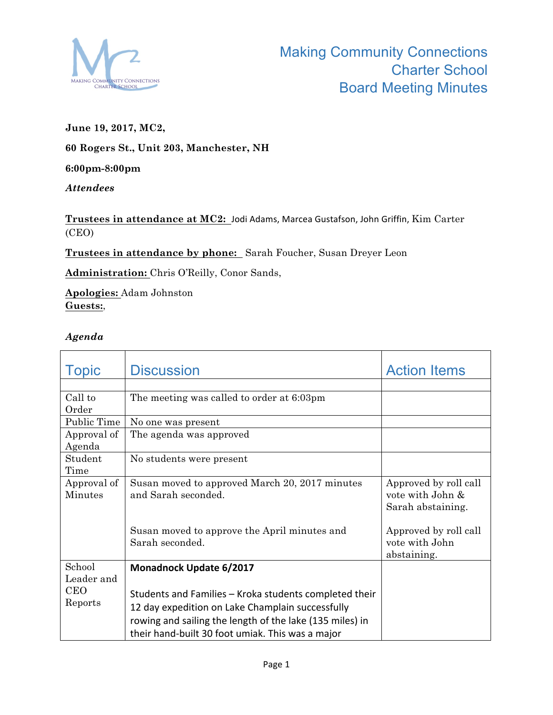

## **June 19, 2017, MC2,**

**60 Rogers St., Unit 203, Manchester, NH**

#### **6:00pm-8:00pm**

### *Attendees*

# Trustees in attendance at MC2: Jodi Adams, Marcea Gustafson, John Griffin, Kim Carter (CEO)

**Trustees in attendance by phone:** Sarah Foucher, Susan Dreyer Leon

**Administration:** Chris O'Reilly, Conor Sands,

**Apologies:** Adam Johnston **Guests:**,

### *Agenda*

| <b>Topic</b>                 | <b>Discussion</b>                                                                                            | <b>Action Items</b>   |
|------------------------------|--------------------------------------------------------------------------------------------------------------|-----------------------|
|                              |                                                                                                              |                       |
| Call to                      | The meeting was called to order at 6:03pm                                                                    |                       |
| Order                        |                                                                                                              |                       |
| Public Time                  | No one was present                                                                                           |                       |
| Approval of                  | The agenda was approved                                                                                      |                       |
| Agenda                       |                                                                                                              |                       |
| Student                      | No students were present                                                                                     |                       |
| Time                         |                                                                                                              |                       |
| Approval of                  | Susan moved to approved March 20, 2017 minutes                                                               | Approved by roll call |
| Minutes                      | and Sarah seconded.                                                                                          | vote with John &      |
|                              |                                                                                                              | Sarah abstaining.     |
|                              |                                                                                                              |                       |
|                              | Susan moved to approve the April minutes and                                                                 | Approved by roll call |
|                              | Sarah seconded.                                                                                              | vote with John        |
|                              |                                                                                                              | abstaining.           |
| School                       | <b>Monadnock Update 6/2017</b>                                                                               |                       |
|                              |                                                                                                              |                       |
|                              | Students and Families – Kroka students completed their                                                       |                       |
|                              | 12 day expedition on Lake Champlain successfully                                                             |                       |
|                              |                                                                                                              |                       |
|                              |                                                                                                              |                       |
| Leader and<br>CEO<br>Reports | rowing and sailing the length of the lake (135 miles) in<br>their hand-built 30 foot umiak. This was a major |                       |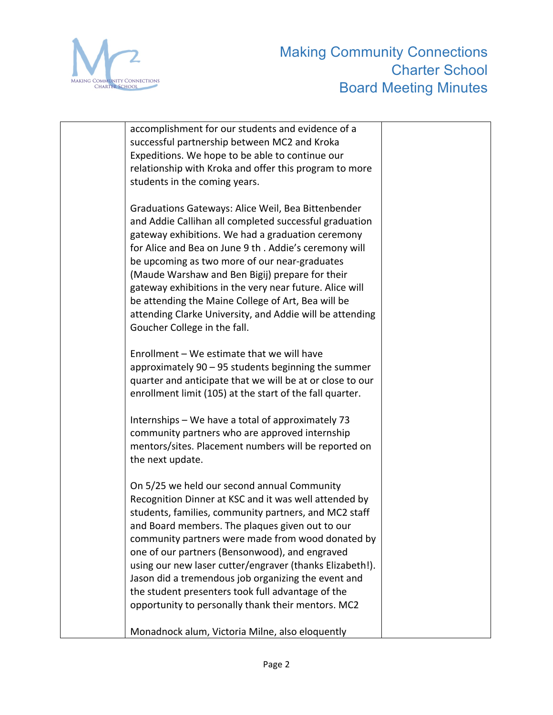

| accomplishment for our students and evidence of a<br>successful partnership between MC2 and Kroka                                                                                                                                                                                                                                                                                                                                                                                               |  |
|-------------------------------------------------------------------------------------------------------------------------------------------------------------------------------------------------------------------------------------------------------------------------------------------------------------------------------------------------------------------------------------------------------------------------------------------------------------------------------------------------|--|
| Expeditions. We hope to be able to continue our<br>relationship with Kroka and offer this program to more                                                                                                                                                                                                                                                                                                                                                                                       |  |
| students in the coming years.<br>Graduations Gateways: Alice Weil, Bea Bittenbender                                                                                                                                                                                                                                                                                                                                                                                                             |  |
| and Addie Callihan all completed successful graduation<br>gateway exhibitions. We had a graduation ceremony<br>for Alice and Bea on June 9 th . Addie's ceremony will<br>be upcoming as two more of our near-graduates<br>(Maude Warshaw and Ben Bigij) prepare for their<br>gateway exhibitions in the very near future. Alice will<br>be attending the Maine College of Art, Bea will be                                                                                                      |  |
| attending Clarke University, and Addie will be attending<br>Goucher College in the fall.                                                                                                                                                                                                                                                                                                                                                                                                        |  |
| Enrollment - We estimate that we will have<br>approximately $90 - 95$ students beginning the summer<br>quarter and anticipate that we will be at or close to our<br>enrollment limit (105) at the start of the fall quarter.                                                                                                                                                                                                                                                                    |  |
| Internships - We have a total of approximately 73<br>community partners who are approved internship<br>mentors/sites. Placement numbers will be reported on<br>the next update.                                                                                                                                                                                                                                                                                                                 |  |
| On 5/25 we held our second annual Community<br>Recognition Dinner at KSC and it was well attended by<br>students, families, community partners, and MC2 staff<br>and Board members. The plaques given out to our<br>community partners were made from wood donated by<br>one of our partners (Bensonwood), and engraved<br>using our new laser cutter/engraver (thanks Elizabeth!).<br>Jason did a tremendous job organizing the event and<br>the student presenters took full advantage of the |  |
| opportunity to personally thank their mentors. MC2<br>Monadnock alum, Victoria Milne, also eloquently                                                                                                                                                                                                                                                                                                                                                                                           |  |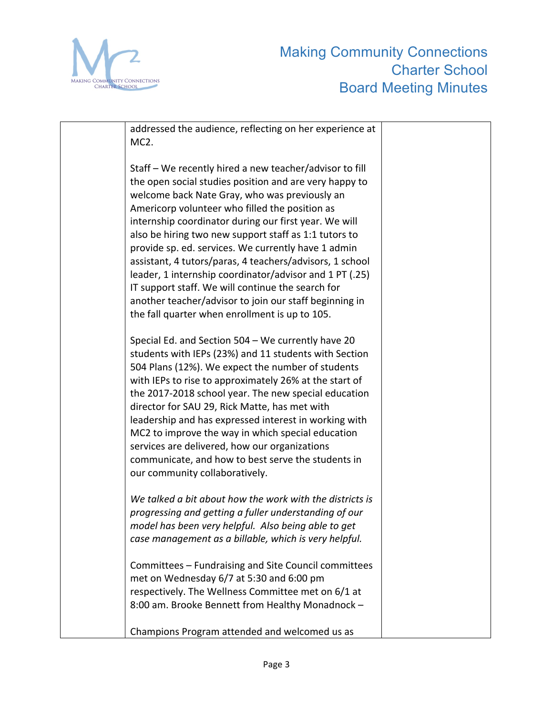

| addressed the audience, reflecting on her experience at<br>MC <sub>2</sub> .                                                                                                                                                                                                                                                                                                                                                                                                                                                                                                                                                                                                          |  |
|---------------------------------------------------------------------------------------------------------------------------------------------------------------------------------------------------------------------------------------------------------------------------------------------------------------------------------------------------------------------------------------------------------------------------------------------------------------------------------------------------------------------------------------------------------------------------------------------------------------------------------------------------------------------------------------|--|
|                                                                                                                                                                                                                                                                                                                                                                                                                                                                                                                                                                                                                                                                                       |  |
| Staff – We recently hired a new teacher/advisor to fill<br>the open social studies position and are very happy to<br>welcome back Nate Gray, who was previously an<br>Americorp volunteer who filled the position as<br>internship coordinator during our first year. We will<br>also be hiring two new support staff as 1:1 tutors to<br>provide sp. ed. services. We currently have 1 admin<br>assistant, 4 tutors/paras, 4 teachers/advisors, 1 school<br>leader, 1 internship coordinator/advisor and 1 PT (.25)<br>IT support staff. We will continue the search for<br>another teacher/advisor to join our staff beginning in<br>the fall quarter when enrollment is up to 105. |  |
| Special Ed. and Section 504 - We currently have 20<br>students with IEPs (23%) and 11 students with Section<br>504 Plans (12%). We expect the number of students<br>with IEPs to rise to approximately 26% at the start of<br>the 2017-2018 school year. The new special education<br>director for SAU 29, Rick Matte, has met with<br>leadership and has expressed interest in working with<br>MC2 to improve the way in which special education<br>services are delivered, how our organizations<br>communicate, and how to best serve the students in<br>our community collaboratively.                                                                                            |  |
| We talked a bit about how the work with the districts is<br>progressing and getting a fuller understanding of our<br>model has been very helpful. Also being able to get<br>case management as a billable, which is very helpful.                                                                                                                                                                                                                                                                                                                                                                                                                                                     |  |
| Committees - Fundraising and Site Council committees<br>met on Wednesday 6/7 at 5:30 and 6:00 pm<br>respectively. The Wellness Committee met on 6/1 at<br>8:00 am. Brooke Bennett from Healthy Monadnock -                                                                                                                                                                                                                                                                                                                                                                                                                                                                            |  |
| Champions Program attended and welcomed us as                                                                                                                                                                                                                                                                                                                                                                                                                                                                                                                                                                                                                                         |  |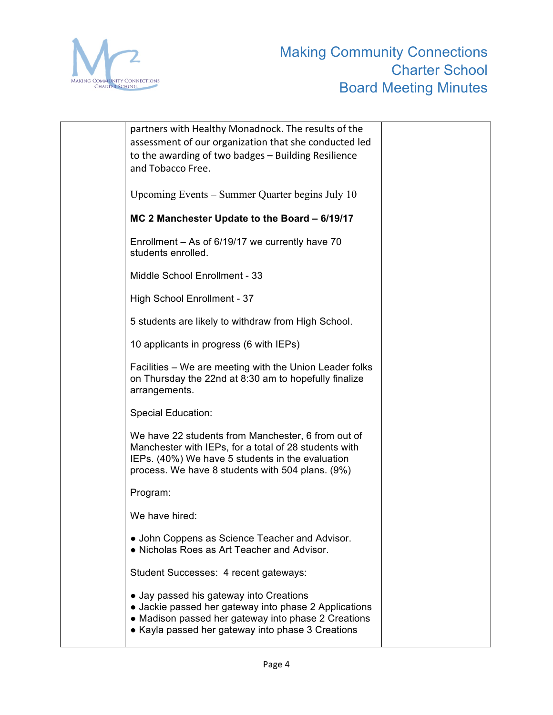

| partners with Healthy Monadnock. The results of the<br>assessment of our organization that she conducted led<br>to the awarding of two badges - Building Resilience<br>and Tobacco Free.                            |
|---------------------------------------------------------------------------------------------------------------------------------------------------------------------------------------------------------------------|
| Upcoming Events – Summer Quarter begins July 10                                                                                                                                                                     |
| MC 2 Manchester Update to the Board - 6/19/17                                                                                                                                                                       |
| Enrollment - As of 6/19/17 we currently have 70<br>students enrolled.                                                                                                                                               |
| Middle School Enrollment - 33                                                                                                                                                                                       |
| High School Enrollment - 37                                                                                                                                                                                         |
| 5 students are likely to withdraw from High School.                                                                                                                                                                 |
| 10 applicants in progress (6 with IEPs)                                                                                                                                                                             |
| Facilities - We are meeting with the Union Leader folks<br>on Thursday the 22nd at 8:30 am to hopefully finalize<br>arrangements.                                                                                   |
| <b>Special Education:</b>                                                                                                                                                                                           |
| We have 22 students from Manchester, 6 from out of<br>Manchester with IEPs, for a total of 28 students with<br>IEPs. (40%) We have 5 students in the evaluation<br>process. We have 8 students with 504 plans. (9%) |
| Program:                                                                                                                                                                                                            |
| We have hired:                                                                                                                                                                                                      |
| • John Coppens as Science Teacher and Advisor.<br>• Nicholas Roes as Art Teacher and Advisor.                                                                                                                       |
| Student Successes: 4 recent gateways:                                                                                                                                                                               |
| • Jay passed his gateway into Creations<br>• Jackie passed her gateway into phase 2 Applications<br>• Madison passed her gateway into phase 2 Creations<br>• Kayla passed her gateway into phase 3 Creations        |
|                                                                                                                                                                                                                     |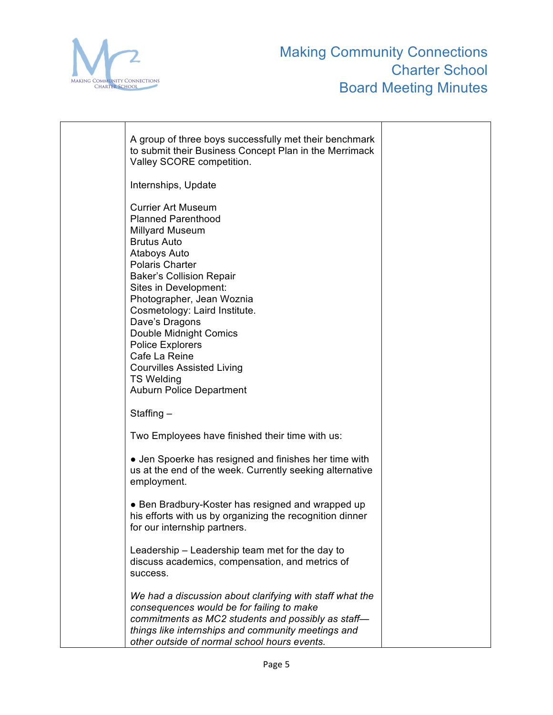

| A group of three boys successfully met their benchmark<br>to submit their Business Concept Plan in the Merrimack<br>Valley SCORE competition.                                                                                                                                                                                                                                                                                |  |
|------------------------------------------------------------------------------------------------------------------------------------------------------------------------------------------------------------------------------------------------------------------------------------------------------------------------------------------------------------------------------------------------------------------------------|--|
| Internships, Update                                                                                                                                                                                                                                                                                                                                                                                                          |  |
| <b>Currier Art Museum</b><br><b>Planned Parenthood</b><br><b>Millyard Museum</b><br><b>Brutus Auto</b><br>Ataboys Auto<br><b>Polaris Charter</b><br><b>Baker's Collision Repair</b><br>Sites in Development:<br>Photographer, Jean Woznia<br>Cosmetology: Laird Institute.<br>Dave's Dragons<br>Double Midnight Comics<br><b>Police Explorers</b><br>Cafe La Reine<br><b>Courvilles Assisted Living</b><br><b>TS Welding</b> |  |
| <b>Auburn Police Department</b>                                                                                                                                                                                                                                                                                                                                                                                              |  |
| Staffing $-$                                                                                                                                                                                                                                                                                                                                                                                                                 |  |
| Two Employees have finished their time with us:                                                                                                                                                                                                                                                                                                                                                                              |  |
| • Jen Spoerke has resigned and finishes her time with<br>us at the end of the week. Currently seeking alternative<br>employment.                                                                                                                                                                                                                                                                                             |  |
| • Ben Bradbury-Koster has resigned and wrapped up<br>his efforts with us by organizing the recognition dinner<br>for our internship partners                                                                                                                                                                                                                                                                                 |  |
| Leadership – Leadership team met for the day to<br>discuss academics, compensation, and metrics of<br>success.                                                                                                                                                                                                                                                                                                               |  |
| We had a discussion about clarifying with staff what the<br>consequences would be for failing to make<br>commitments as MC2 students and possibly as staff-<br>things like internships and community meetings and<br>other outside of normal school hours events.                                                                                                                                                            |  |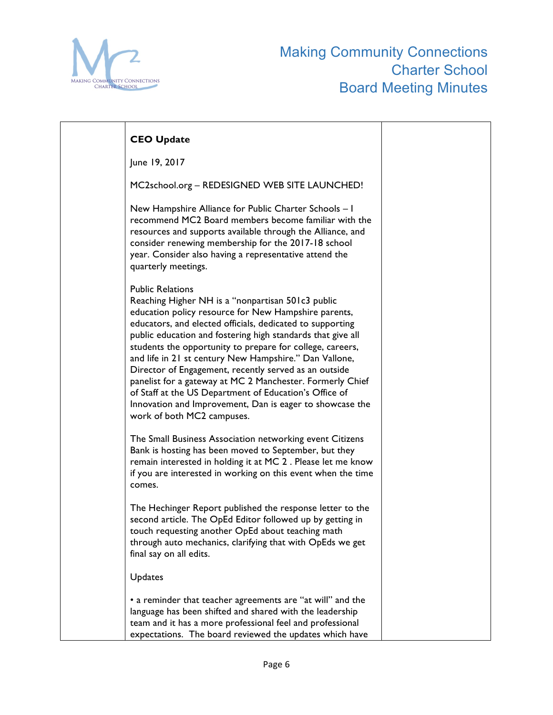

| <b>CEO Update</b>                                                                                                                                                                                                                                                                                                                                                                                                                                                                                                                                                                                                                                                 |  |
|-------------------------------------------------------------------------------------------------------------------------------------------------------------------------------------------------------------------------------------------------------------------------------------------------------------------------------------------------------------------------------------------------------------------------------------------------------------------------------------------------------------------------------------------------------------------------------------------------------------------------------------------------------------------|--|
| June 19, 2017                                                                                                                                                                                                                                                                                                                                                                                                                                                                                                                                                                                                                                                     |  |
| MC2school.org - REDESIGNED WEB SITE LAUNCHED!                                                                                                                                                                                                                                                                                                                                                                                                                                                                                                                                                                                                                     |  |
| New Hampshire Alliance for Public Charter Schools - I<br>recommend MC2 Board members become familiar with the<br>resources and supports available through the Alliance, and<br>consider renewing membership for the 2017-18 school<br>year. Consider also having a representative attend the<br>quarterly meetings.                                                                                                                                                                                                                                                                                                                                               |  |
| <b>Public Relations</b><br>Reaching Higher NH is a "nonpartisan 501c3 public<br>education policy resource for New Hampshire parents,<br>educators, and elected officials, dedicated to supporting<br>public education and fostering high standards that give all<br>students the opportunity to prepare for college, careers,<br>and life in 21 st century New Hampshire." Dan Vallone,<br>Director of Engagement, recently served as an outside<br>panelist for a gateway at MC 2 Manchester. Formerly Chief<br>of Staff at the US Department of Education's Office of<br>Innovation and Improvement, Dan is eager to showcase the<br>work of both MC2 campuses. |  |
| The Small Business Association networking event Citizens<br>Bank is hosting has been moved to September, but they<br>remain interested in holding it at MC 2. Please let me know<br>if you are interested in working on this event when the time<br>comes.                                                                                                                                                                                                                                                                                                                                                                                                        |  |
| The Hechinger Report published the response letter to the<br>second article. The OpEd Editor followed up by getting in<br>touch requesting another OpEd about teaching math<br>through auto mechanics, clarifying that with OpEds we get<br>final say on all edits.                                                                                                                                                                                                                                                                                                                                                                                               |  |
| Updates                                                                                                                                                                                                                                                                                                                                                                                                                                                                                                                                                                                                                                                           |  |
| • a reminder that teacher agreements are "at will" and the<br>language has been shifted and shared with the leadership<br>team and it has a more professional feel and professional<br>expectations. The board reviewed the updates which have                                                                                                                                                                                                                                                                                                                                                                                                                    |  |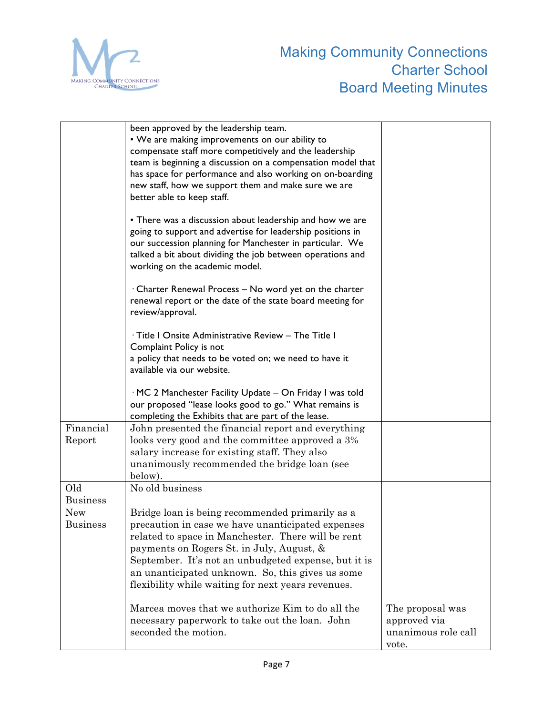

|                        | been approved by the leadership team.<br>• We are making improvements on our ability to<br>compensate staff more competitively and the leadership<br>team is beginning a discussion on a compensation model that<br>has space for performance and also working on on-boarding<br>new staff, how we support them and make sure we are<br>better able to keep staff.        |                                                                  |
|------------------------|---------------------------------------------------------------------------------------------------------------------------------------------------------------------------------------------------------------------------------------------------------------------------------------------------------------------------------------------------------------------------|------------------------------------------------------------------|
|                        | • There was a discussion about leadership and how we are<br>going to support and advertise for leadership positions in<br>our succession planning for Manchester in particular. We<br>talked a bit about dividing the job between operations and<br>working on the academic model.                                                                                        |                                                                  |
|                        | · Charter Renewal Process - No word yet on the charter<br>renewal report or the date of the state board meeting for<br>review/approval.                                                                                                                                                                                                                                   |                                                                  |
|                        | · Title I Onsite Administrative Review - The Title I<br>Complaint Policy is not<br>a policy that needs to be voted on; we need to have it<br>available via our website.                                                                                                                                                                                                   |                                                                  |
|                        | · MC 2 Manchester Facility Update - On Friday I was told<br>our proposed "lease looks good to go." What remains is<br>completing the Exhibits that are part of the lease.                                                                                                                                                                                                 |                                                                  |
| Financial<br>Report    | John presented the financial report and everything<br>looks very good and the committee approved a 3%<br>salary increase for existing staff. They also<br>unanimously recommended the bridge loan (see<br>below).                                                                                                                                                         |                                                                  |
| Old<br><b>Business</b> | No old business                                                                                                                                                                                                                                                                                                                                                           |                                                                  |
| New<br><b>Business</b> | Bridge loan is being recommended primarily as a<br>precaution in case we have unanticipated expenses<br>related to space in Manchester. There will be rent<br>payments on Rogers St. in July, August, &<br>September. It's not an unbudgeted expense, but it is<br>an unanticipated unknown. So, this gives us some<br>flexibility while waiting for next years revenues. |                                                                  |
|                        | Marcea moves that we authorize Kim to do all the<br>necessary paperwork to take out the loan. John<br>seconded the motion.                                                                                                                                                                                                                                                | The proposal was<br>approved via<br>unanimous role call<br>vote. |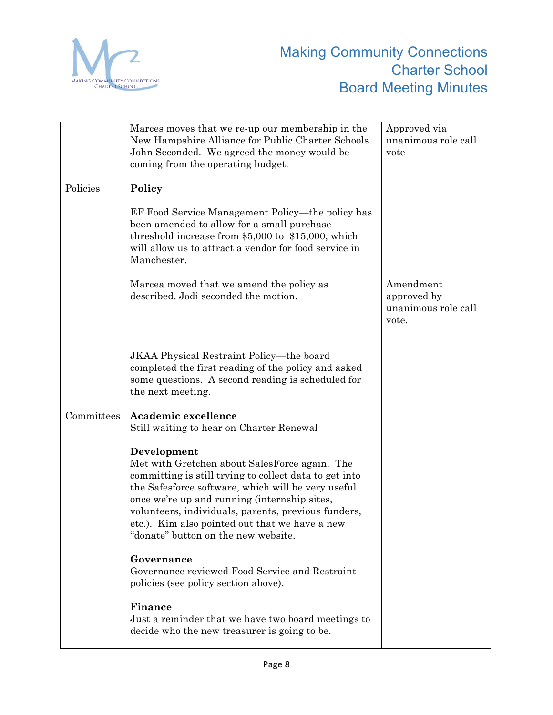

|            | Marces moves that we re-up our membership in the<br>New Hampshire Alliance for Public Charter Schools.<br>John Seconded. We agreed the money would be<br>coming from the operating budget.                                                                                                                                                                                   | Approved via<br>unanimous role call<br>vote              |
|------------|------------------------------------------------------------------------------------------------------------------------------------------------------------------------------------------------------------------------------------------------------------------------------------------------------------------------------------------------------------------------------|----------------------------------------------------------|
| Policies   | Policy                                                                                                                                                                                                                                                                                                                                                                       |                                                          |
|            | EF Food Service Management Policy—the policy has<br>been amended to allow for a small purchase<br>threshold increase from \$5,000 to \$15,000, which<br>will allow us to attract a vendor for food service in<br>Manchester.                                                                                                                                                 |                                                          |
|            | Marcea moved that we amend the policy as<br>described. Jodi seconded the motion.                                                                                                                                                                                                                                                                                             | Amendment<br>approved by<br>unanimous role call<br>vote. |
|            | JKAA Physical Restraint Policy—the board<br>completed the first reading of the policy and asked<br>some questions. A second reading is scheduled for<br>the next meeting.                                                                                                                                                                                                    |                                                          |
| Committees | Academic excellence<br>Still waiting to hear on Charter Renewal                                                                                                                                                                                                                                                                                                              |                                                          |
|            | Development<br>Met with Gretchen about SalesForce again. The<br>committing is still trying to collect data to get into<br>the Safesforce software, which will be very useful<br>once we're up and running (internship sites,<br>volunteers, individuals, parents, previous funders,<br>etc.). Kim also pointed out that we have a new<br>"donate" button on the new website. |                                                          |
|            | Governance<br>Governance reviewed Food Service and Restraint<br>policies (see policy section above).                                                                                                                                                                                                                                                                         |                                                          |
|            | Finance<br>Just a reminder that we have two board meetings to<br>decide who the new treasurer is going to be.                                                                                                                                                                                                                                                                |                                                          |